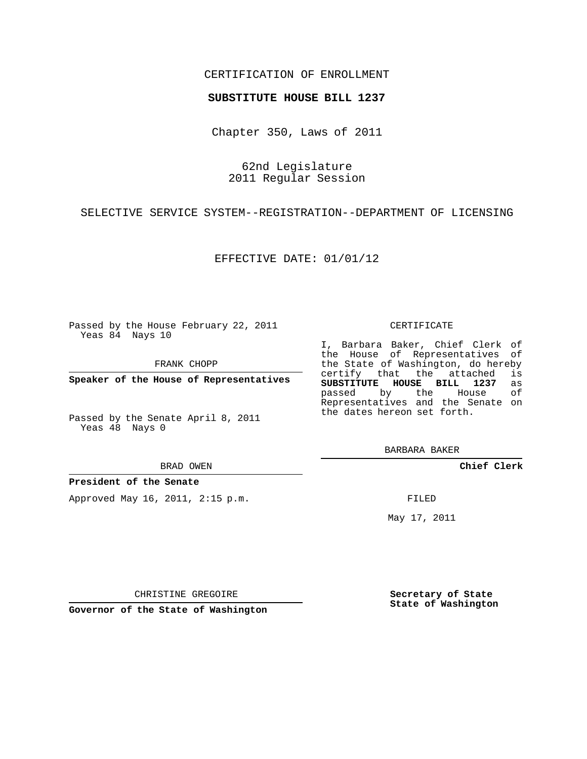### CERTIFICATION OF ENROLLMENT

#### **SUBSTITUTE HOUSE BILL 1237**

Chapter 350, Laws of 2011

62nd Legislature 2011 Regular Session

SELECTIVE SERVICE SYSTEM--REGISTRATION--DEPARTMENT OF LICENSING

EFFECTIVE DATE: 01/01/12

Passed by the House February 22, 2011 Yeas 84 Nays 10

FRANK CHOPP

**Speaker of the House of Representatives**

Passed by the Senate April 8, 2011 Yeas 48 Nays 0

BRAD OWEN

**President of the Senate**

Approved May 16, 2011, 2:15 p.m.

#### CERTIFICATE

I, Barbara Baker, Chief Clerk of the House of Representatives of the State of Washington, do hereby<br>certify that the attached is certify that the attached **SUBSTITUTE HOUSE BILL 1237** as passed by the House of Representatives and the Senate on the dates hereon set forth.

BARBARA BAKER

**Chief Clerk**

FILED

May 17, 2011

**Secretary of State State of Washington**

CHRISTINE GREGOIRE

**Governor of the State of Washington**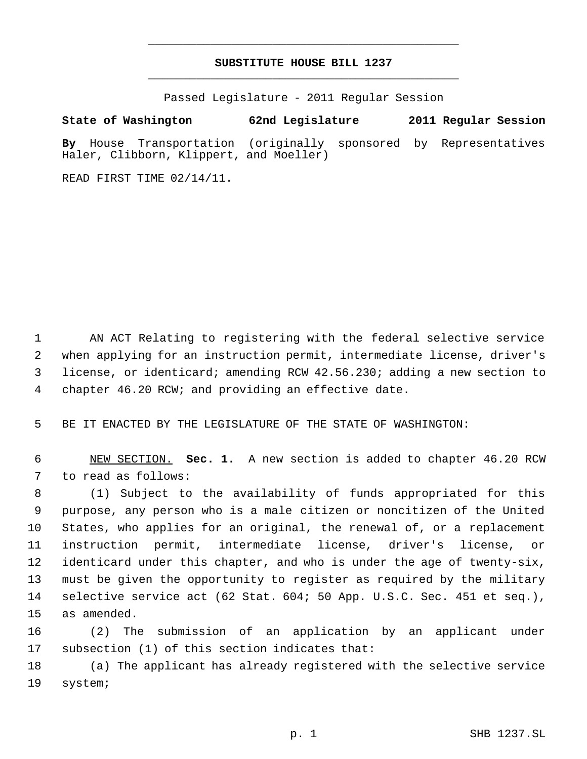## **SUBSTITUTE HOUSE BILL 1237** \_\_\_\_\_\_\_\_\_\_\_\_\_\_\_\_\_\_\_\_\_\_\_\_\_\_\_\_\_\_\_\_\_\_\_\_\_\_\_\_\_\_\_\_\_

\_\_\_\_\_\_\_\_\_\_\_\_\_\_\_\_\_\_\_\_\_\_\_\_\_\_\_\_\_\_\_\_\_\_\_\_\_\_\_\_\_\_\_\_\_

Passed Legislature - 2011 Regular Session

# **State of Washington 62nd Legislature 2011 Regular Session**

**By** House Transportation (originally sponsored by Representatives Haler, Clibborn, Klippert, and Moeller)

READ FIRST TIME 02/14/11.

 AN ACT Relating to registering with the federal selective service when applying for an instruction permit, intermediate license, driver's license, or identicard; amending RCW 42.56.230; adding a new section to chapter 46.20 RCW; and providing an effective date.

BE IT ENACTED BY THE LEGISLATURE OF THE STATE OF WASHINGTON:

 NEW SECTION. **Sec. 1.** A new section is added to chapter 46.20 RCW to read as follows:

 (1) Subject to the availability of funds appropriated for this purpose, any person who is a male citizen or noncitizen of the United States, who applies for an original, the renewal of, or a replacement instruction permit, intermediate license, driver's license, or identicard under this chapter, and who is under the age of twenty-six, must be given the opportunity to register as required by the military selective service act (62 Stat. 604; 50 App. U.S.C. Sec. 451 et seq.), as amended.

 (2) The submission of an application by an applicant under subsection (1) of this section indicates that:

 (a) The applicant has already registered with the selective service system;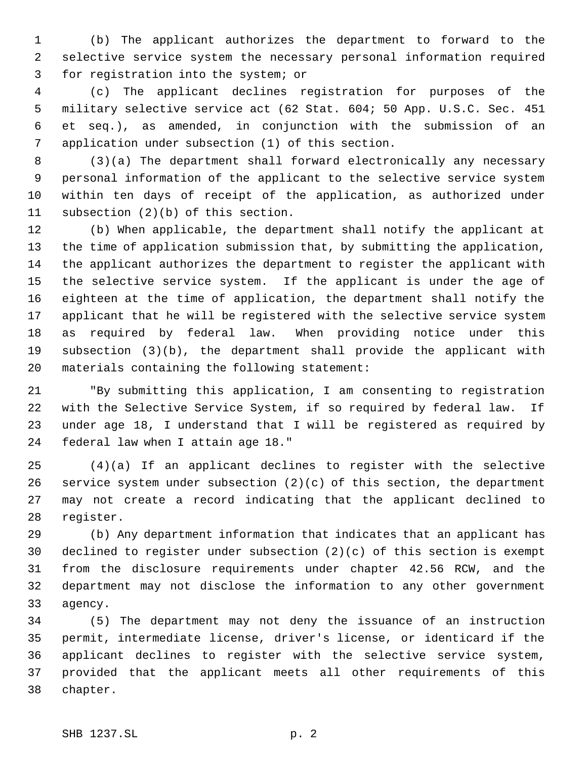(b) The applicant authorizes the department to forward to the selective service system the necessary personal information required for registration into the system; or

 (c) The applicant declines registration for purposes of the military selective service act (62 Stat. 604; 50 App. U.S.C. Sec. 451 et seq.), as amended, in conjunction with the submission of an application under subsection (1) of this section.

 (3)(a) The department shall forward electronically any necessary personal information of the applicant to the selective service system within ten days of receipt of the application, as authorized under subsection (2)(b) of this section.

 (b) When applicable, the department shall notify the applicant at the time of application submission that, by submitting the application, the applicant authorizes the department to register the applicant with the selective service system. If the applicant is under the age of eighteen at the time of application, the department shall notify the applicant that he will be registered with the selective service system as required by federal law. When providing notice under this subsection (3)(b), the department shall provide the applicant with materials containing the following statement:

 "By submitting this application, I am consenting to registration with the Selective Service System, if so required by federal law. If under age 18, I understand that I will be registered as required by federal law when I attain age 18."

 (4)(a) If an applicant declines to register with the selective service system under subsection (2)(c) of this section, the department may not create a record indicating that the applicant declined to register.

 (b) Any department information that indicates that an applicant has declined to register under subsection (2)(c) of this section is exempt from the disclosure requirements under chapter 42.56 RCW, and the department may not disclose the information to any other government agency.

 (5) The department may not deny the issuance of an instruction permit, intermediate license, driver's license, or identicard if the applicant declines to register with the selective service system, provided that the applicant meets all other requirements of this chapter.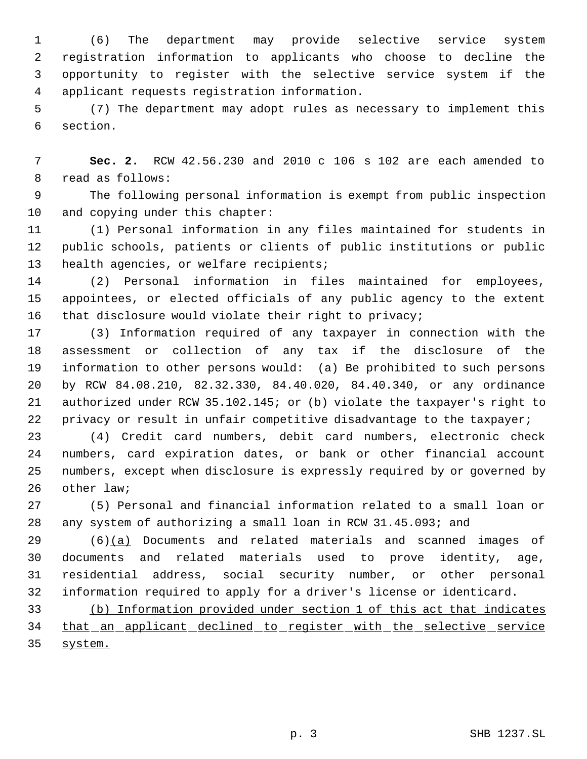(6) The department may provide selective service system registration information to applicants who choose to decline the opportunity to register with the selective service system if the applicant requests registration information.

 (7) The department may adopt rules as necessary to implement this section.

 **Sec. 2.** RCW 42.56.230 and 2010 c 106 s 102 are each amended to read as follows:

 The following personal information is exempt from public inspection and copying under this chapter:

 (1) Personal information in any files maintained for students in public schools, patients or clients of public institutions or public 13 health agencies, or welfare recipients;

 (2) Personal information in files maintained for employees, appointees, or elected officials of any public agency to the extent that disclosure would violate their right to privacy;

 (3) Information required of any taxpayer in connection with the assessment or collection of any tax if the disclosure of the information to other persons would: (a) Be prohibited to such persons by RCW 84.08.210, 82.32.330, 84.40.020, 84.40.340, or any ordinance authorized under RCW 35.102.145; or (b) violate the taxpayer's right to 22 privacy or result in unfair competitive disadvantage to the taxpayer;

 (4) Credit card numbers, debit card numbers, electronic check numbers, card expiration dates, or bank or other financial account numbers, except when disclosure is expressly required by or governed by other law;

 (5) Personal and financial information related to a small loan or any system of authorizing a small loan in RCW 31.45.093; and

 (6)(a) Documents and related materials and scanned images of documents and related materials used to prove identity, age, residential address, social security number, or other personal information required to apply for a driver's license or identicard.

 (b) Information provided under section 1 of this act that indicates 34 that an applicant declined to register with the selective service system.